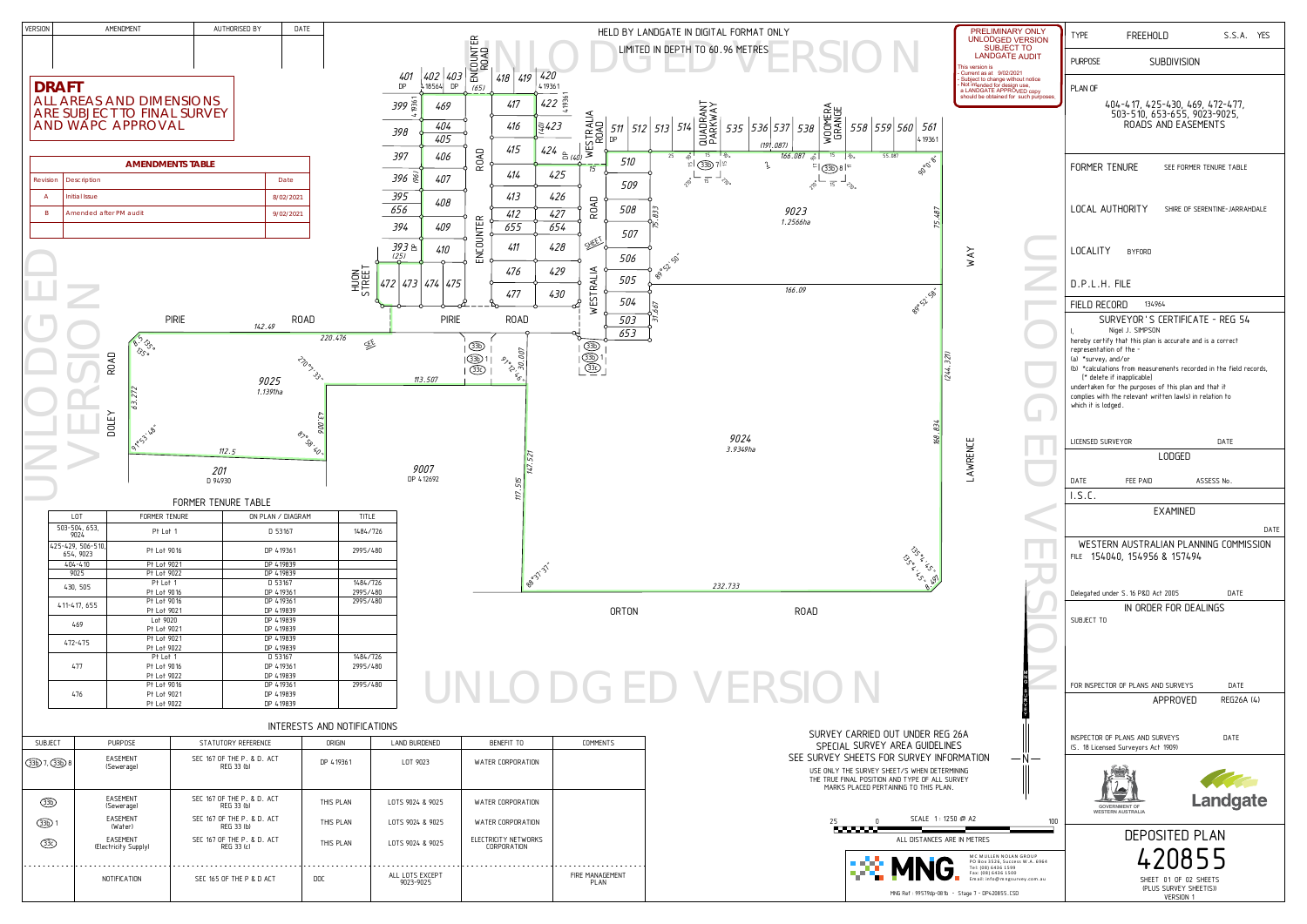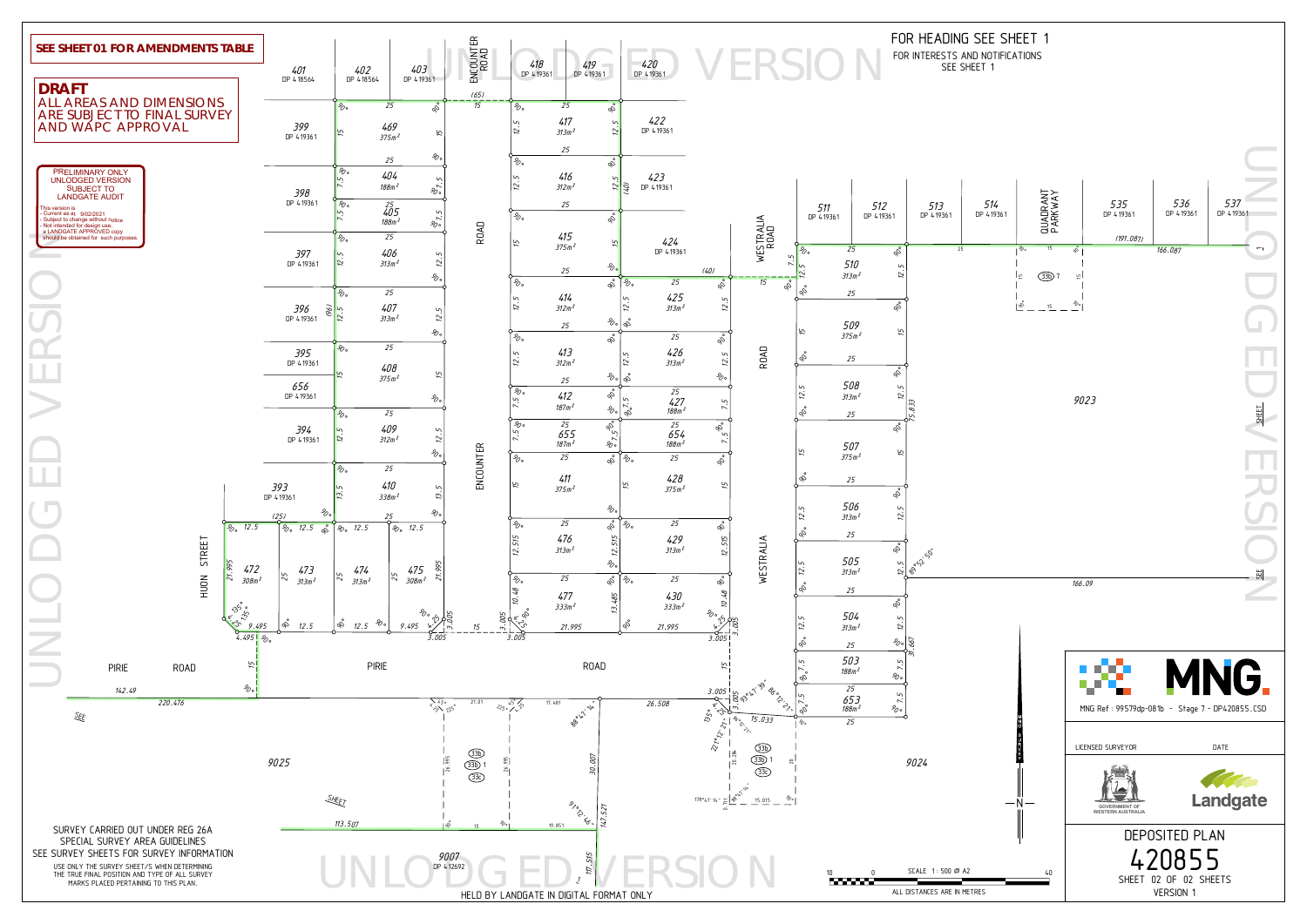